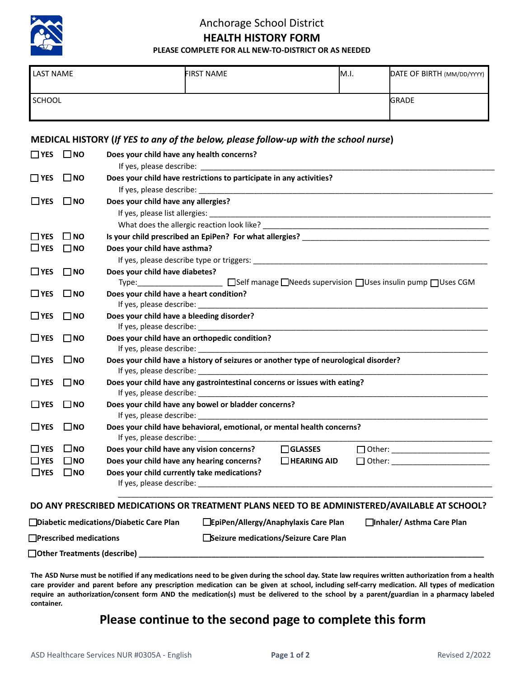

## Anchorage School District **HEALTH HISTORY FORM**

**PLEASE COMPLETE FOR ALL NEW-TO-DISTRICT OR AS NEEDED**

| <b>LAST NAME</b> | <b>FIRST NAME</b> | IM.I. | DATE OF BIRTH (MM/DD/YYYY) |
|------------------|-------------------|-------|----------------------------|
| SCHOOL           |                   |       | <b>GRADE</b>               |

### **MEDICAL HISTORY (***If YES to any of the below, please follow-up with the school nurse***)**

| $\Box$ YES           | $\square$ NO | Does your child have any health concerns?                                                                                      |  |  |
|----------------------|--------------|--------------------------------------------------------------------------------------------------------------------------------|--|--|
| $\square$ YES        | $\Box$ NO    | Does your child have restrictions to participate in any activities?                                                            |  |  |
|                      |              |                                                                                                                                |  |  |
| $\Box$ YES           | $\square$ NO | Does your child have any allergies?                                                                                            |  |  |
|                      |              |                                                                                                                                |  |  |
|                      |              |                                                                                                                                |  |  |
| $\Box$ YES           | $\square$ NO |                                                                                                                                |  |  |
| $\sqcup$ YES         | $\square$ NO | Does your child have asthma?                                                                                                   |  |  |
|                      |              |                                                                                                                                |  |  |
| $\Box$ YES           | $\square$ NO | Does your child have diabetes?                                                                                                 |  |  |
|                      |              | □Self manage □Needs supervision □Uses insulin pump □Uses CGM<br>Type:__________________________                                |  |  |
| $\Box$ YES $\Box$ NO |              | Does your child have a heart condition?                                                                                        |  |  |
|                      |              |                                                                                                                                |  |  |
| $\Box$ YES           | $\square$ NO | Does your child have a bleeding disorder?                                                                                      |  |  |
|                      |              |                                                                                                                                |  |  |
| $\Box$ YES           | $\square$ NO | Does your child have an orthopedic condition?                                                                                  |  |  |
|                      |              |                                                                                                                                |  |  |
| $\Box$ YES           | $\square$ NO | Does your child have a history of seizures or another type of neurological disorder?                                           |  |  |
|                      |              |                                                                                                                                |  |  |
| $\Box$ YES           | $\square$ NO | Does your child have any gastrointestinal concerns or issues with eating?                                                      |  |  |
|                      |              |                                                                                                                                |  |  |
| $\Box$ YES           | $\Box$ NO    | Does your child have any bowel or bladder concerns?                                                                            |  |  |
|                      |              |                                                                                                                                |  |  |
| $\Box$ YES           | <b>TINO</b>  | Does your child have behavioral, emotional, or mental health concerns?                                                         |  |  |
|                      |              |                                                                                                                                |  |  |
| $\Box$ YES           | $\square$ NO | Does your child have any vision concerns?<br>$\square$ GLASSES<br>D Other: ____________________________                        |  |  |
| $\Box$ YES           | $\square$ NO | Does your child have any hearing concerns?<br>$\Box$ HEARING AID<br>□ Other: _________________________                         |  |  |
| $\square$ YES        | $\square$ NO | Does your child currently take medications?                                                                                    |  |  |
|                      |              |                                                                                                                                |  |  |
|                      |              | DO ANY PRESCRIBED MEDICATIONS OR TREATMENT PLANS NEED TO BE ADMINISTERED/AVAILABLE AT SCHOOL?                                  |  |  |
|                      |              | $\Box$ Diabetic medications (Diabetic Care Plan $\Box$ FriDen (Allergy (Ananbylaxis Care Plan $\Box$ Inhaler (Asthma Care Plan |  |  |

▢ **Diabetic medications/Diabetic Care Plan** ▢ **EpiPen/Allergy/Anaphylaxis Care Plan** ▢ **Inhaler/ Asthma Care Plan**

▢ **Prescribed medications** ▢ **Seizure medications/Seizure Care Plan**

□ Other Treatments (describe)

**The ASD Nurse must be notified if any medications need to be given during the school day. State law requires written authorization from a health care provider and parent before any prescription medication can be given at school, including self-carry medication. All types of medication require an authorization/consent form AND the medication(s) must be delivered to the school by a parent/guardian in a pharmacy labeled container.**

### **Please continue to the second page to complete this form**